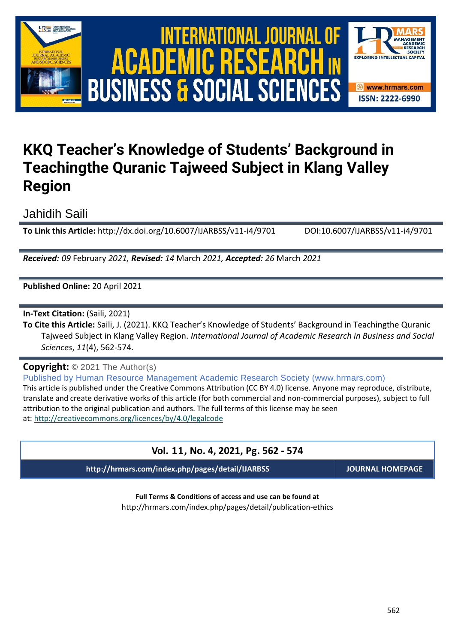

# International Journal of Academic Research in Business and Social Sciences **Vol. 1 1 , No. 4, 2021, E-ISSN: 2222-6990 © 2021 HRMARS ACADEMIC BUSINESS & SOCIAL SCIENCES**



# **KKQ Teacher's Knowledge of Students' Background in Teachingthe Quranic Tajweed Subject in Klang Valley Region**

Jahidih Saili

**To Link this Article:** http://dx.doi.org/10.6007/IJARBSS/v11-i4/9701 DOI:10.6007/IJARBSS/v11-i4/9701

*Received: 09* February *2021, Revised: 14* March *2021, Accepted: 26* March *2021*

**Published Online:** 20 April 2021

**In-Text Citation:** (Saili, 2021)

**To Cite this Article:** Saili, J. (2021). KKQ Teacher's Knowledge of Students' Background in Teachingthe Quranic Tajweed Subject in Klang Valley Region. *International Journal of Academic Research in Business and Social Sciences*, *11*(4), 562-574.

**Copyright:** © 2021 The Author(s)

Published by Human Resource Management Academic Research Society (www.hrmars.com) This article is published under the Creative Commons Attribution (CC BY 4.0) license. Anyone may reproduce, distribute, translate and create derivative works of this article (for both commercial and non-commercial purposes), subject to full attribution to the original publication and authors. The full terms of this license may be seen at: <http://creativecommons.org/licences/by/4.0/legalcode>

# **Vol. 11, No. 4, 2021, Pg. 562 - 574**

**http://hrmars.com/index.php/pages/detail/IJARBSS JOURNAL HOMEPAGE**

**Full Terms & Conditions of access and use can be found at** http://hrmars.com/index.php/pages/detail/publication-ethics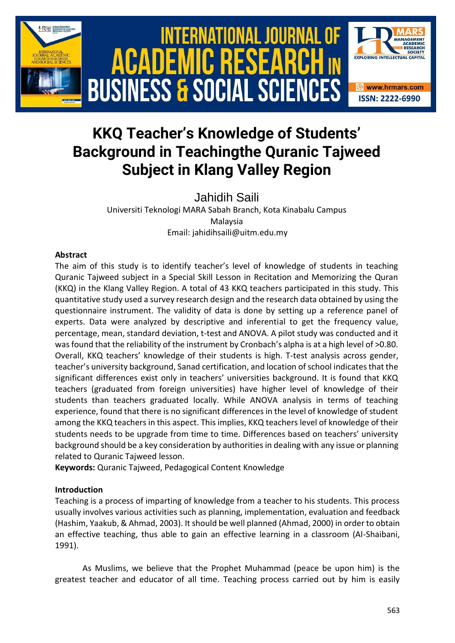

# **KKQ Teacher's Knowledge of Students' Background in Teachingthe Quranic Tajweed Subject in Klang Valley Region**

Jahidih Saili Universiti Teknologi MARA Sabah Branch, Kota Kinabalu Campus Malaysia Email: jahidihsaili@uitm.edu.my

# **Abstract**

The aim of this study is to identify teacher's level of knowledge of students in teaching Quranic Tajweed subject in a Special Skill Lesson in Recitation and Memorizing the Quran (KKQ) in the Klang Valley Region. A total of 43 KKQ teachers participated in this study. This quantitative study used a survey research design and the research data obtained by using the questionnaire instrument. The validity of data is done by setting up a reference panel of experts. Data were analyzed by descriptive and inferential to get the frequency value, percentage, mean, standard deviation, t-test and ANOVA. A pilot study was conducted and it was found that the reliability of the instrument by Cronbach's alpha is at a high level of >0.80. Overall, KKQ teachers' knowledge of their students is high. T-test analysis across gender, teacher's university background, Sanad certification, and location of school indicates that the significant differences exist only in teachers' universities background. It is found that KKQ teachers (graduated from foreign universities) have higher level of knowledge of their students than teachers graduated locally. While ANOVA analysis in terms of teaching experience, found that there is no significant differences in the level of knowledge of student among the KKQ teachers in this aspect. This implies, KKQ teachers level of knowledge of their students needs to be upgrade from time to time. Differences based on teachers' university background should be a key consideration by authorities in dealing with any issue or planning related to Quranic Tajweed lesson.

**Keywords:** Quranic Tajweed, Pedagogical Content Knowledge

# **Introduction**

Teaching is a process of imparting of knowledge from a teacher to his students. This process usually involves various activities such as planning, implementation, evaluation and feedback (Hashim, Yaakub, & Ahmad, 2003). It should be well planned (Ahmad, 2000) in order to obtain an effective teaching, thus able to gain an effective learning in a classroom (Al-Shaibani, 1991).

As Muslims, we believe that the Prophet Muhammad (peace be upon him) is the greatest teacher and educator of all time. Teaching process carried out by him is easily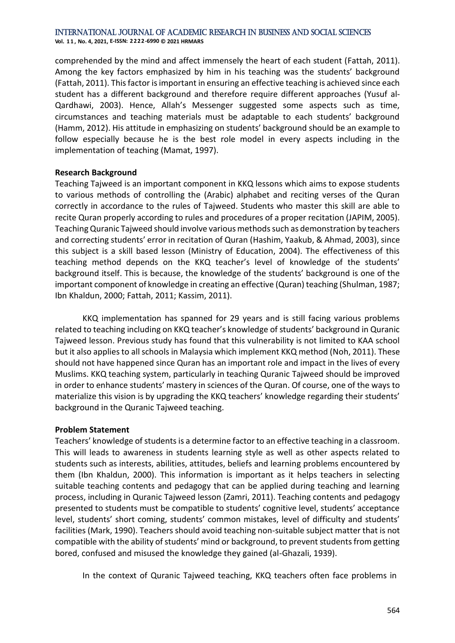**Vol. 1 1 , No. 4, 2021, E-ISSN: 2222-6990 © 2021 HRMARS**

comprehended by the mind and affect immensely the heart of each student (Fattah, 2011). Among the key factors emphasized by him in his teaching was the students' background (Fattah, 2011). This factor is important in ensuring an effective teaching is achieved since each student has a different background and therefore require different approaches (Yusuf al-Qardhawi, 2003). Hence, Allah's Messenger suggested some aspects such as time, circumstances and teaching materials must be adaptable to each students' background (Hamm, 2012). His attitude in emphasizing on students' background should be an example to follow especially because he is the best role model in every aspects including in the implementation of teaching (Mamat, 1997).

#### **Research Background**

Teaching Tajweed is an important component in KKQ lessons which aims to expose students to various methods of controlling the (Arabic) alphabet and reciting verses of the Quran correctly in accordance to the rules of Tajweed. Students who master this skill are able to recite Quran properly according to rules and procedures of a proper recitation (JAPIM, 2005). Teaching Quranic Tajweed should involve various methods such as demonstration by teachers and correcting students' error in recitation of Quran (Hashim, Yaakub, & Ahmad, 2003), since this subject is a skill based lesson (Ministry of Education, 2004). The effectiveness of this teaching method depends on the KKQ teacher's level of knowledge of the students' background itself. This is because, the knowledge of the students' background is one of the important component of knowledge in creating an effective (Quran) teaching (Shulman, 1987; Ibn Khaldun, 2000; Fattah, 2011; Kassim, 2011).

KKQ implementation has spanned for 29 years and is still facing various problems related to teaching including on KKQ teacher's knowledge of students' background in Quranic Tajweed lesson. Previous study has found that this vulnerability is not limited to KAA school but it also applies to all schools in Malaysia which implement KKQ method (Noh, 2011). These should not have happened since Quran has an important role and impact in the lives of every Muslims. KKQ teaching system, particularly in teaching Quranic Tajweed should be improved in order to enhance students' mastery in sciences of the Quran. Of course, one of the ways to materialize this vision is by upgrading the KKQ teachers' knowledge regarding their students' background in the Quranic Tajweed teaching.

#### **Problem Statement**

Teachers' knowledge of students is a determine factor to an effective teaching in a classroom. This will leads to awareness in students learning style as well as other aspects related to students such as interests, abilities, attitudes, beliefs and learning problems encountered by them (Ibn Khaldun, 2000). This information is important as it helps teachers in selecting suitable teaching contents and pedagogy that can be applied during teaching and learning process, including in Quranic Tajweed lesson (Zamri, 2011). Teaching contents and pedagogy presented to students must be compatible to students' cognitive level, students' acceptance level, students' short coming, students' common mistakes, level of difficulty and students' facilities (Mark, 1990). Teachers should avoid teaching non-suitable subject matter that is not compatible with the ability of students' mind or background, to prevent students from getting bored, confused and misused the knowledge they gained (al-Ghazali, 1939).

In the context of Quranic Tajweed teaching, KKQ teachers often face problems in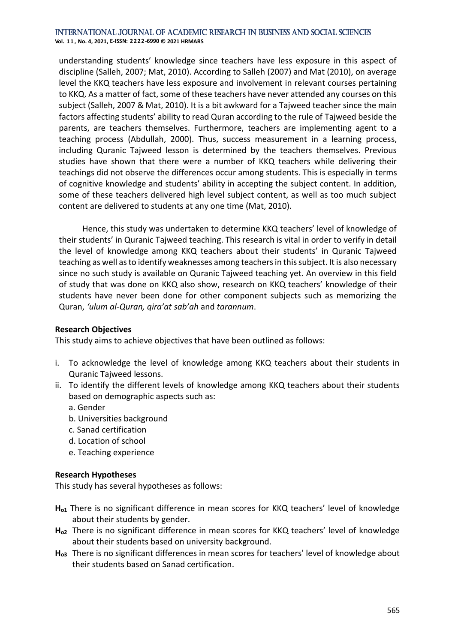**Vol. 1 1 , No. 4, 2021, E-ISSN: 2222-6990 © 2021 HRMARS**

understanding students' knowledge since teachers have less exposure in this aspect of discipline (Salleh, 2007; Mat, 2010). According to Salleh (2007) and Mat (2010), on average level the KKQ teachers have less exposure and involvement in relevant courses pertaining to KKQ. As a matter of fact, some of these teachers have never attended any courses on this subject (Salleh, 2007 & Mat, 2010). It is a bit awkward for a Tajweed teacher since the main factors affecting students' ability to read Quran according to the rule of Tajweed beside the parents, are teachers themselves. Furthermore, teachers are implementing agent to a teaching process (Abdullah, 2000). Thus, success measurement in a learning process, including Quranic Tajweed lesson is determined by the teachers themselves. Previous studies have shown that there were a number of KKQ teachers while delivering their teachings did not observe the differences occur among students. This is especially in terms of cognitive knowledge and students' ability in accepting the subject content. In addition, some of these teachers delivered high level subject content, as well as too much subject content are delivered to students at any one time (Mat, 2010).

Hence, this study was undertaken to determine KKQ teachers' level of knowledge of their students' in Quranic Tajweed teaching. This research is vital in order to verify in detail the level of knowledge among KKQ teachers about their students' in Quranic Tajweed teaching as well as to identify weaknesses among teachers in this subject. It is also necessary since no such study is available on Quranic Tajweed teaching yet. An overview in this field of study that was done on KKQ also show, research on KKQ teachers' knowledge of their students have never been done for other component subjects such as memorizing the Quran, *'ulum al-Quran, qira'at sab'ah* and *tarannum*.

# **Research Objectives**

This study aims to achieve objectives that have been outlined as follows:

- i. To acknowledge the level of knowledge among KKQ teachers about their students in Quranic Tajweed lessons.
- ii. To identify the different levels of knowledge among KKQ teachers about their students based on demographic aspects such as:
	- a. Gender
	- b. Universities background
	- c. Sanad certification
	- d. Location of school
	- e. Teaching experience

#### **Research Hypotheses**

This study has several hypotheses as follows:

- H<sub>01</sub> There is no significant difference in mean scores for KKQ teachers' level of knowledge about their students by gender.
- **Ho2** There is no significant difference in mean scores for KKQ teachers' level of knowledge about their students based on university background.
- **Ho3** There is no significant differences in mean scores for teachers' level of knowledge about their students based on Sanad certification.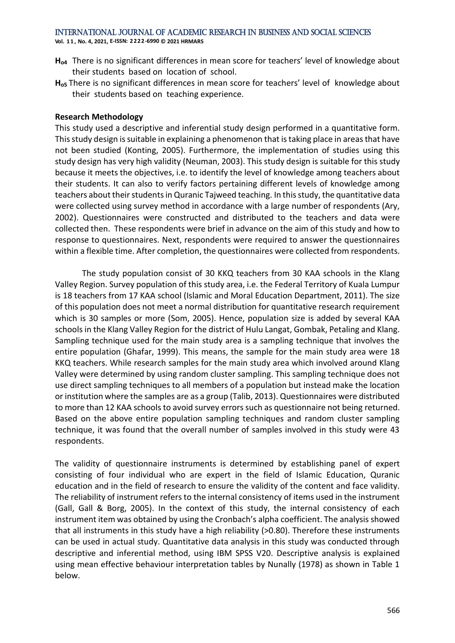**Vol. 1 1 , No. 4, 2021, E-ISSN: 2222-6990 © 2021 HRMARS**

- **Ho4** There is no significant differences in mean score for teachers' level of knowledge about their students based on location of school.
- **Ho5** There is no significant differences in mean score for teachers' level of knowledge about their students based on teaching experience.

### **Research Methodology**

This study used a descriptive and inferential study design performed in a quantitative form. This study design is suitable in explaining a phenomenon that is taking place in areas that have not been studied (Konting, 2005). Furthermore, the implementation of studies using this study design has very high validity (Neuman, 2003). This study design is suitable for this study because it meets the objectives, i.e. to identify the level of knowledge among teachers about their students. It can also to verify factors pertaining different levels of knowledge among teachers about their students in Quranic Tajweed teaching. In this study, the quantitative data were collected using survey method in accordance with a large number of respondents (Ary, 2002). Questionnaires were constructed and distributed to the teachers and data were collected then. These respondents were brief in advance on the aim of this study and how to response to questionnaires. Next, respondents were required to answer the questionnaires within a flexible time. After completion, the questionnaires were collected from respondents.

The study population consist of 30 KKQ teachers from 30 KAA schools in the Klang Valley Region. Survey population of this study area, i.e. the Federal Territory of Kuala Lumpur is 18 teachers from 17 KAA school (Islamic and Moral Education Department, 2011). The size of this population does not meet a normal distribution for quantitative research requirement which is 30 samples or more (Som, 2005). Hence, population size is added by several KAA schools in the Klang Valley Region for the district of Hulu Langat, Gombak, Petaling and Klang. Sampling technique used for the main study area is a sampling technique that involves the entire population (Ghafar, 1999). This means, the sample for the main study area were 18 KKQ teachers. While research samples for the main study area which involved around Klang Valley were determined by using random cluster sampling. This sampling technique does not use direct sampling techniques to all members of a population but instead make the location or institution where the samples are as a group (Talib, 2013). Questionnaires were distributed to more than 12 KAA schools to avoid survey errors such as questionnaire not being returned. Based on the above entire population sampling techniques and random cluster sampling technique, it was found that the overall number of samples involved in this study were 43 respondents.

The validity of questionnaire instruments is determined by establishing panel of expert consisting of four individual who are expert in the field of Islamic Education, Quranic education and in the field of research to ensure the validity of the content and face validity. The reliability of instrument refers to the internal consistency of items used in the instrument (Gall, Gall & Borg, 2005). In the context of this study, the internal consistency of each instrument item was obtained by using the Cronbach's alpha coefficient. The analysis showed that all instruments in this study have a high reliability (>0.80). Therefore these instruments can be used in actual study. Quantitative data analysis in this study was conducted through descriptive and inferential method, using IBM SPSS V20. Descriptive analysis is explained using mean effective behaviour interpretation tables by Nunally (1978) as shown in Table 1 below.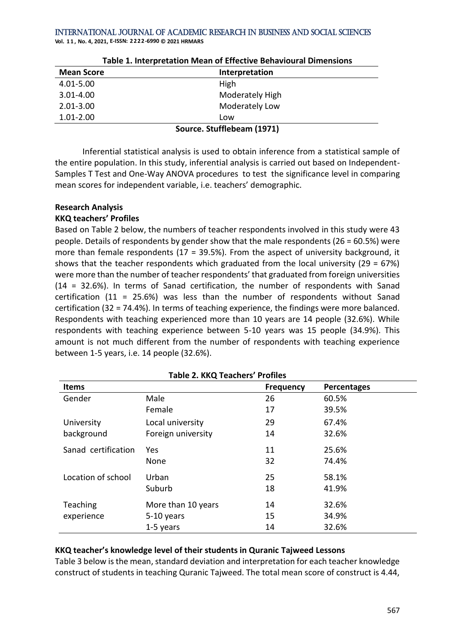**Vol. 1 1 , No. 4, 2021, E-ISSN: 2222-6990 © 2021 HRMARS**

| <b>Mean Score</b> | Interpretation             |  |  |  |
|-------------------|----------------------------|--|--|--|
| 4.01-5.00         | High                       |  |  |  |
| $3.01 - 4.00$     | Moderately High            |  |  |  |
| $2.01 - 3.00$     | Moderately Low             |  |  |  |
| $1.01 - 2.00$     | Low                        |  |  |  |
|                   | Source. Stufflebeam (1971) |  |  |  |

Inferential statistical analysis is used to obtain inference from a statistical sample of the entire population. In this study, inferential analysis is carried out based on Independent-Samples T Test and One-Way ANOVA procedures to test the significance level in comparing mean scores for independent variable, i.e. teachers' demographic.

#### **Research Analysis**

#### **KKQ teachers' Profiles**

Based on Table 2 below, the numbers of teacher respondents involved in this study were 43 people. Details of respondents by gender show that the male respondents (26 = 60.5%) were more than female respondents ( $17 = 39.5\%$ ). From the aspect of university background, it shows that the teacher respondents which graduated from the local university (29 =  $67\%$ ) were more than the number of teacher respondents' that graduated from foreign universities (14 = 32.6%). In terms of Sanad certification, the number of respondents with Sanad certification (11 = 25.6%) was less than the number of respondents without Sanad certification (32 = 74.4%). In terms of teaching experience, the findings were more balanced. Respondents with teaching experienced more than 10 years are 14 people (32.6%). While respondents with teaching experience between 5-10 years was 15 people (34.9%). This amount is not much different from the number of respondents with teaching experience between 1-5 years, i.e. 14 people (32.6%).

|                     | Table 2. KKQ Teachers Fronces |                  |                    |  |
|---------------------|-------------------------------|------------------|--------------------|--|
| <b>Items</b>        |                               | <b>Frequency</b> | <b>Percentages</b> |  |
| Gender              | Male                          | 26               | 60.5%              |  |
|                     | Female                        | 17               | 39.5%              |  |
| University          | Local university              | 29               | 67.4%              |  |
| background          | Foreign university            | 14               | 32.6%              |  |
| Sanad certification | Yes.                          | 11               | 25.6%              |  |
|                     | None                          | 32               | 74.4%              |  |
| Location of school  | Urban                         | 25               | 58.1%              |  |
|                     | Suburb                        | 18               | 41.9%              |  |
| Teaching            | More than 10 years            | 14               | 32.6%              |  |
| experience          | 5-10 years                    | 15               | 34.9%              |  |
|                     | 1-5 years                     | 14               | 32.6%              |  |

# **Table 2. KKQ Teachers' Profiles**

#### **KKQ teacher's knowledge level of their students in Quranic Tajweed Lessons**

Table 3 below is the mean, standard deviation and interpretation for each teacher knowledge construct of students in teaching Quranic Tajweed. The total mean score of construct is 4.44,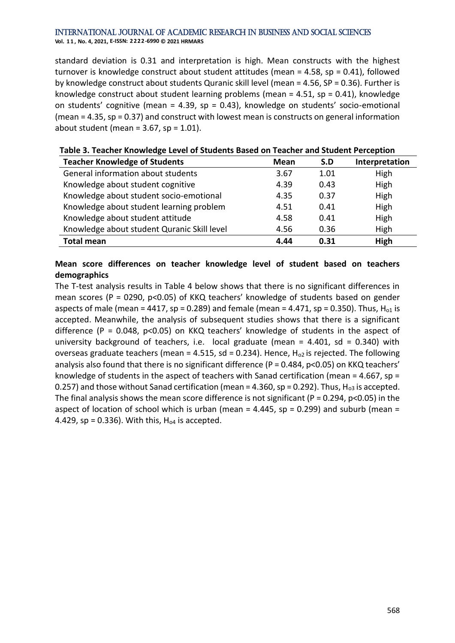**Vol. 1 1 , No. 4, 2021, E-ISSN: 2222-6990 © 2021 HRMARS**

standard deviation is 0.31 and interpretation is high. Mean constructs with the highest turnover is knowledge construct about student attitudes (mean = 4.58, sp = 0.41), followed by knowledge construct about students Quranic skill level (mean = 4.56, SP = 0.36). Further is knowledge construct about student learning problems (mean = 4.51, sp = 0.41), knowledge on students' cognitive (mean = 4.39, sp = 0.43), knowledge on students' socio-emotional (mean = 4.35, sp = 0.37) and construct with lowest mean is constructs on general information about student (mean =  $3.67$ , sp =  $1.01$ ).

| <b>Teacher Knowledge of Students</b>        | <b>Mean</b> | S.D  | Interpretation |
|---------------------------------------------|-------------|------|----------------|
| General information about students          | 3.67        | 1.01 | High           |
| Knowledge about student cognitive           | 4.39        | 0.43 | High           |
| Knowledge about student socio-emotional     | 4.35        | 0.37 | High           |
| Knowledge about student learning problem    | 4.51        | 0.41 | High           |
| Knowledge about student attitude            | 4.58        | 0.41 | High           |
| Knowledge about student Quranic Skill level | 4.56        | 0.36 | High           |
| <b>Total mean</b>                           | 4.44        | 0.31 | High           |

# **Table 3. Teacher Knowledge Level of Students Based on Teacher and Student Perception**

# **Mean score differences on teacher knowledge level of student based on teachers demographics**

The T-test analysis results in Table 4 below shows that there is no significant differences in mean scores (P = 0290, p<0.05) of KKQ teachers' knowledge of students based on gender aspects of male (mean = 4417, sp = 0.289) and female (mean = 4.471, sp = 0.350). Thus,  $H<sub>01</sub>$  is accepted. Meanwhile, the analysis of subsequent studies shows that there is a significant difference ( $P = 0.048$ ,  $p < 0.05$ ) on KKQ teachers' knowledge of students in the aspect of university background of teachers, i.e. local graduate (mean =  $4.401$ , sd =  $0.340$ ) with overseas graduate teachers (mean = 4.515, sd = 0.234). Hence,  $H<sub>o2</sub>$  is rejected. The following analysis also found that there is no significant difference (P = 0.484, p<0.05) on KKQ teachers' knowledge of students in the aspect of teachers with Sanad certification (mean = 4.667, sp = 0.257) and those without Sanad certification (mean = 4.360, sp = 0.292). Thus,  $H_{o3}$  is accepted. The final analysis shows the mean score difference is not significant ( $P = 0.294$ ,  $p < 0.05$ ) in the aspect of location of school which is urban (mean =  $4.445$ , sp = 0.299) and suburb (mean = 4.429,  $sp = 0.336$ ). With this,  $H_{o4}$  is accepted.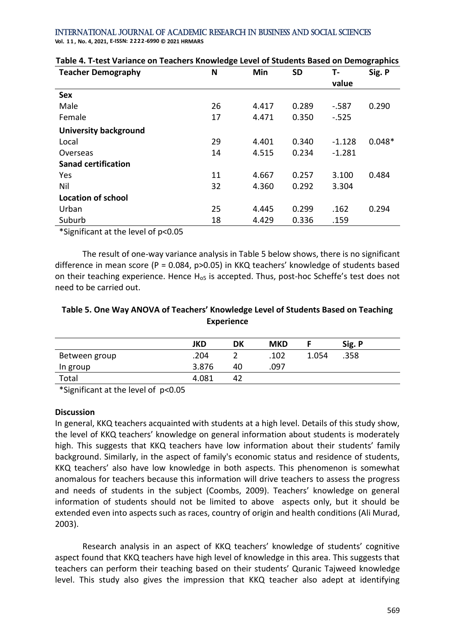#### International Journal of Academic Research in Business and Social Sciences **Vol. 1 1 , No. 4, 2021, E-ISSN: 2222-6990 © 2021 HRMARS**

| <b>Teacher Demography</b>    | N  | Min   | <b>SD</b> | т.       | Sig. P   |
|------------------------------|----|-------|-----------|----------|----------|
|                              |    |       |           | value    |          |
| <b>Sex</b>                   |    |       |           |          |          |
| Male                         | 26 | 4.417 | 0.289     | $-587$   | 0.290    |
| Female                       | 17 | 4.471 | 0.350     | $-.525$  |          |
| <b>University background</b> |    |       |           |          |          |
| Local                        | 29 | 4.401 | 0.340     | $-1.128$ | $0.048*$ |
| Overseas                     | 14 | 4.515 | 0.234     | $-1.281$ |          |
| <b>Sanad certification</b>   |    |       |           |          |          |
| Yes                          | 11 | 4.667 | 0.257     | 3.100    | 0.484    |
| Nil                          | 32 | 4.360 | 0.292     | 3.304    |          |
| <b>Location of school</b>    |    |       |           |          |          |
| Urban                        | 25 | 4.445 | 0.299     | .162     | 0.294    |
| Suburb                       | 18 | 4.429 | 0.336     | .159     |          |

# **Table 4. T-test Variance on Teachers Knowledge Level of Students Based on Demographics**

\*Significant at the level of p<0.05

The result of one-way variance analysis in Table 5 below shows, there is no significant difference in mean score (P = 0.084, p>0.05) in KKQ teachers' knowledge of students based on their teaching experience. Hence  $H_{\text{o5}}$  is accepted. Thus, post-hoc Scheffe's test does not need to be carried out.

# **Table 5. One Way ANOVA of Teachers' Knowledge Level of Students Based on Teaching Experience**

|               | <b>JKD</b> | DK | <b>MKD</b> |       | Sig. P |
|---------------|------------|----|------------|-------|--------|
| Between group | .204       |    | .102       | 1.054 | .358   |
| $ln group$    | 3.876      | 40 | .097       |       |        |
| Total         | 4.081      | 42 |            |       |        |

\*Significant at the level of p<0.05

# **Discussion**

In general, KKQ teachers acquainted with students at a high level. Details of this study show, the level of KKQ teachers' knowledge on general information about students is moderately high. This suggests that KKQ teachers have low information about their students' family background. Similarly, in the aspect of family's economic status and residence of students, KKQ teachers' also have low knowledge in both aspects. This phenomenon is somewhat anomalous for teachers because this information will drive teachers to assess the progress and needs of students in the subject (Coombs, 2009). Teachers' knowledge on general information of students should not be limited to above aspects only, but it should be extended even into aspects such as races, country of origin and health conditions (Ali Murad, 2003).

Research analysis in an aspect of KKQ teachers' knowledge of students' cognitive aspect found that KKQ teachers have high level of knowledge in this area. This suggests that teachers can perform their teaching based on their students' Quranic Tajweed knowledge level. This study also gives the impression that KKQ teacher also adept at identifying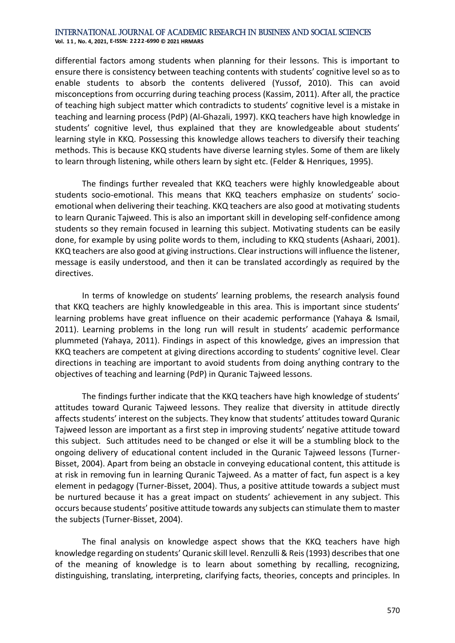**Vol. 1 1 , No. 4, 2021, E-ISSN: 2222-6990 © 2021 HRMARS**

differential factors among students when planning for their lessons. This is important to ensure there is consistency between teaching contents with students' cognitive level so as to enable students to absorb the contents delivered (Yussof, 2010). This can avoid misconceptions from occurring during teaching process (Kassim, 2011). After all, the practice of teaching high subject matter which contradicts to students' cognitive level is a mistake in teaching and learning process (PdP) (Al-Ghazali, 1997). KKQ teachers have high knowledge in students' cognitive level, thus explained that they are knowledgeable about students' learning style in KKQ. Possessing this knowledge allows teachers to diversify their teaching methods. This is because KKQ students have diverse learning styles. Some of them are likely to learn through listening, while others learn by sight etc. (Felder & Henriques, 1995).

The findings further revealed that KKQ teachers were highly knowledgeable about students socio-emotional. This means that KKQ teachers emphasize on students' socioemotional when delivering their teaching. KKQ teachers are also good at motivating students to learn Quranic Tajweed. This is also an important skill in developing self-confidence among students so they remain focused in learning this subject. Motivating students can be easily done, for example by using polite words to them, including to KKQ students (Ashaari, 2001). KKQ teachers are also good at giving instructions. Clear instructions will influence the listener, message is easily understood, and then it can be translated accordingly as required by the directives.

In terms of knowledge on students' learning problems, the research analysis found that KKQ teachers are highly knowledgeable in this area. This is important since students' learning problems have great influence on their academic performance (Yahaya & Ismail, 2011). Learning problems in the long run will result in students' academic performance plummeted (Yahaya, 2011). Findings in aspect of this knowledge, gives an impression that KKQ teachers are competent at giving directions according to students' cognitive level. Clear directions in teaching are important to avoid students from doing anything contrary to the objectives of teaching and learning (PdP) in Quranic Tajweed lessons.

The findings further indicate that the KKQ teachers have high knowledge of students' attitudes toward Quranic Tajweed lessons. They realize that diversity in attitude directly affects students' interest on the subjects. They know that students' attitudes toward Quranic Tajweed lesson are important as a first step in improving students' negative attitude toward this subject. Such attitudes need to be changed or else it will be a stumbling block to the ongoing delivery of educational content included in the Quranic Tajweed lessons (Turner-Bisset, 2004). Apart from being an obstacle in conveying educational content, this attitude is at risk in removing fun in learning Quranic Tajweed. As a matter of fact, fun aspect is a key element in pedagogy (Turner-Bisset, 2004). Thus, a positive attitude towards a subject must be nurtured because it has a great impact on students' achievement in any subject. This occurs because students' positive attitude towards any subjects can stimulate them to master the subjects (Turner-Bisset, 2004).

The final analysis on knowledge aspect shows that the KKQ teachers have high knowledge regarding on students' Quranic skill level. Renzulli & Reis (1993) describes that one of the meaning of knowledge is to learn about something by recalling, recognizing, distinguishing, translating, interpreting, clarifying facts, theories, concepts and principles. In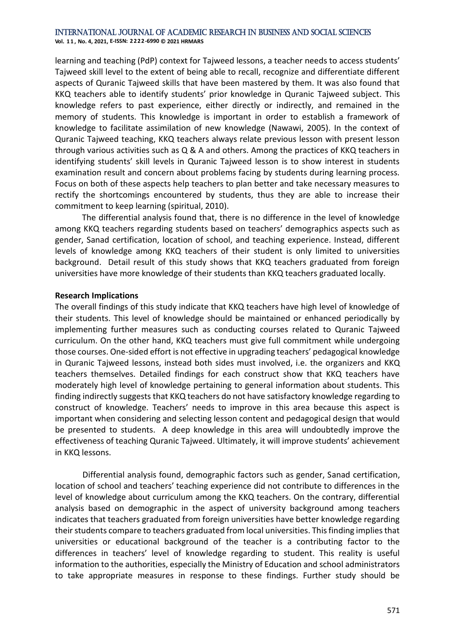**Vol. 1 1 , No. 4, 2021, E-ISSN: 2222-6990 © 2021 HRMARS**

learning and teaching (PdP) context for Tajweed lessons, a teacher needs to access students' Tajweed skill level to the extent of being able to recall, recognize and differentiate different aspects of Quranic Tajweed skills that have been mastered by them. It was also found that KKQ teachers able to identify students' prior knowledge in Quranic Tajweed subject. This knowledge refers to past experience, either directly or indirectly, and remained in the memory of students. This knowledge is important in order to establish a framework of knowledge to facilitate assimilation of new knowledge (Nawawi, 2005). In the context of Quranic Tajweed teaching, KKQ teachers always relate previous lesson with present lesson through various activities such as Q & A and others. Among the practices of KKQ teachers in identifying students' skill levels in Quranic Tajweed lesson is to show interest in students examination result and concern about problems facing by students during learning process. Focus on both of these aspects help teachers to plan better and take necessary measures to rectify the shortcomings encountered by students, thus they are able to increase their commitment to keep learning (spiritual, 2010).

The differential analysis found that, there is no difference in the level of knowledge among KKQ teachers regarding students based on teachers' demographics aspects such as gender, Sanad certification, location of school, and teaching experience. Instead, different levels of knowledge among KKQ teachers of their student is only limited to universities background. Detail result of this study shows that KKQ teachers graduated from foreign universities have more knowledge of their students than KKQ teachers graduated locally.

#### **Research Implications**

The overall findings of this study indicate that KKQ teachers have high level of knowledge of their students. This level of knowledge should be maintained or enhanced periodically by implementing further measures such as conducting courses related to Quranic Tajweed curriculum. On the other hand, KKQ teachers must give full commitment while undergoing those courses. One-sided effort is not effective in upgrading teachers' pedagogical knowledge in Quranic Tajweed lessons, instead both sides must involved, i.e. the organizers and KKQ teachers themselves. Detailed findings for each construct show that KKQ teachers have moderately high level of knowledge pertaining to general information about students. This finding indirectly suggests that KKQ teachers do not have satisfactory knowledge regarding to construct of knowledge. Teachers' needs to improve in this area because this aspect is important when considering and selecting lesson content and pedagogical design that would be presented to students. A deep knowledge in this area will undoubtedly improve the effectiveness of teaching Quranic Tajweed. Ultimately, it will improve students' achievement in KKQ lessons.

Differential analysis found, demographic factors such as gender, Sanad certification, location of school and teachers' teaching experience did not contribute to differences in the level of knowledge about curriculum among the KKQ teachers. On the contrary, differential analysis based on demographic in the aspect of university background among teachers indicates that teachers graduated from foreign universities have better knowledge regarding their students compare to teachers graduated from local universities. This finding implies that universities or educational background of the teacher is a contributing factor to the differences in teachers' level of knowledge regarding to student. This reality is useful information to the authorities, especially the Ministry of Education and school administrators to take appropriate measures in response to these findings. Further study should be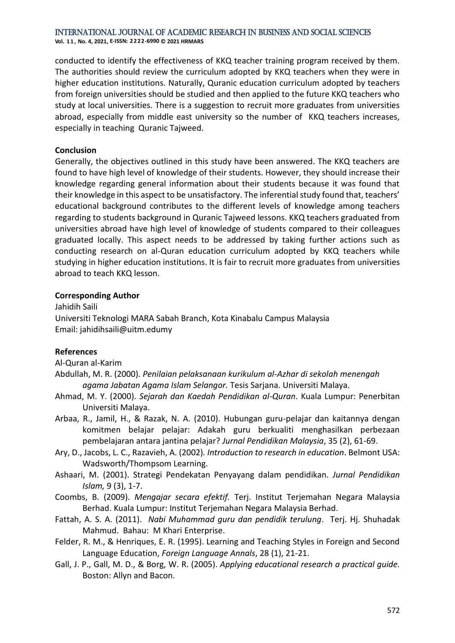**Vol. 1 1 , No. 4, 2021, E-ISSN: 2222-6990 © 2021 HRMARS**

conducted to identify the effectiveness of KKQ teacher training program received by them. The authorities should review the curriculum adopted by KKQ teachers when they were in higher education institutions. Naturally, Quranic education curriculum adopted by teachers from foreign universities should be studied and then applied to the future KKQ teachers who study at local universities. There is a suggestion to recruit more graduates from universities abroad, especially from middle east university so the number of KKQ teachers increases, especially in teaching Quranic Tajweed.

### **Conclusion**

Generally, the objectives outlined in this study have been answered. The KKQ teachers are found to have high level of knowledge of their students. However, they should increase their knowledge regarding general information about their students because it was found that their knowledge in this aspect to be unsatisfactory. The inferential study found that, teachers' educational background contributes to the different levels of knowledge among teachers regarding to students background in Quranic Tajweed lessons. KKQ teachers graduated from universities abroad have high level of knowledge of students compared to their colleagues graduated locally. This aspect needs to be addressed by taking further actions such as conducting research on al-Quran education curriculum adopted by KKQ teachers while studying in higher education institutions. It is fair to recruit more graduates from universities abroad to teach KKQ lesson.

#### **Corresponding Author**

Jahidih Saili Universiti Teknologi MARA Sabah Branch, Kota Kinabalu Campus Malaysia Email: jahidihsaili@uitm.edumy

# **References**

Al-Quran al-Karim

Abdullah, M. R. (2000). *Penilaian pelaksanaan kurikulum al-Azhar di sekolah menengah agama Jabatan Agama Islam Selangor.* Tesis Sarjana. Universiti Malaya.

- Ahmad, M. Y. (2000). *Sejarah dan Kaedah Pendidikan al-Quran*. Kuala Lumpur: Penerbitan Universiti Malaya.
- Arbaa, R., Jamil, H., & Razak, N. A. (2010). Hubungan guru-pelajar dan kaitannya dengan komitmen belajar pelajar: Adakah guru berkualiti menghasilkan perbezaan pembelajaran antara jantina pelajar? *Jurnal Pendidikan Malaysia*, 35 (2), 61-69.
- Ary, D., Jacobs, L. C., Razavieh, A. (2002)*. Introduction to research in education*. Belmont USA: Wadsworth/Thompsom Learning.
- Ashaari, M. (2001). Strategi Pendekatan Penyayang dalam pendidikan*. Jurnal Pendidikan Islam,* 9 (3), 1-7.
- Coombs, B. (2009). *Mengajar secara efektif.* Terj. Institut Terjemahan Negara Malaysia Berhad. Kuala Lumpur: Institut Terjemahan Negara Malaysia Berhad.
- Fattah, A. S. A. (2011). *Nabi Muhammad guru dan pendidik terulung*. Terj. Hj. Shuhadak Mahmud. Bahau: M Khari Enterprise.
- Felder, R. M., & Henriques, E. R. (1995). Learning and Teaching Styles in Foreign and Second Language Education, *Foreign Language Annals*, 28 (1), 21-21.
- Gall, J. P., Gall, M. D., & Borg, W. R. (2005). *Applying educational research a practical guide.* Boston: Allyn and Bacon.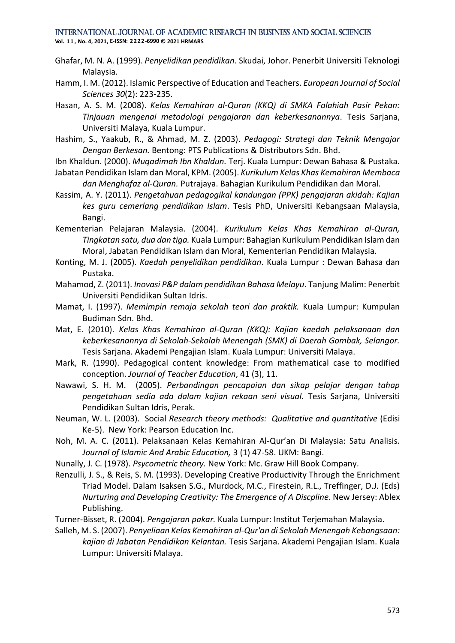**Vol. 1 1 , No. 4, 2021, E-ISSN: 2222-6990 © 2021 HRMARS**

- Ghafar, M. N. A. (1999). *Penyelidikan pendidikan*. Skudai, Johor. Penerbit Universiti Teknologi Malaysia.
- Hamm, I. M. (2012). Islamic Perspective of Education and Teachers. *European Journal of Social Sciences 30*(2): 223-235.
- Hasan, A. S. M. (2008). *Kelas Kemahiran al-Quran (KKQ) di SMKA Falahiah Pasir Pekan: Tinjauan mengenai metodologi pengajaran dan keberkesanannya*. Tesis Sarjana, Universiti Malaya, Kuala Lumpur.
- Hashim, S., Yaakub, R., & Ahmad, M. Z. (2003). *Pedagogi: Strategi dan Teknik Mengajar Dengan Berkesan.* Bentong: PTS Publications & Distributors Sdn. Bhd.
- Ibn Khaldun. (2000). *Muqadimah Ibn Khaldun.* Terj. Kuala Lumpur: Dewan Bahasa & Pustaka.
- Jabatan Pendidikan Islam dan Moral, KPM. (2005). *Kurikulum Kelas Khas Kemahiran Membaca dan Menghafaz al-Quran.* Putrajaya. Bahagian Kurikulum Pendidikan dan Moral.
- Kassim, A. Y. (2011). *Pengetahuan pedagogikal kandungan (PPK) pengajaran akidah: Kajian kes guru cemerlang pendidikan Islam*. Tesis PhD, Universiti Kebangsaan Malaysia, Bangi.
- Kementerian Pelajaran Malaysia. (2004). *Kurikulum Kelas Khas Kemahiran al-Quran, Tingkatan satu, dua dan tiga.* Kuala Lumpur: Bahagian Kurikulum Pendidikan Islam dan Moral, Jabatan Pendidikan Islam dan Moral, Kementerian Pendidikan Malaysia.
- Konting, M. J. (2005). *Kaedah penyelidikan pendidikan*. Kuala Lumpur : Dewan Bahasa dan Pustaka.
- Mahamod, Z. (2011). *Inovasi P&P dalam pendidikan Bahasa Melayu*. Tanjung Malim: Penerbit Universiti Pendidikan Sultan Idris.
- Mamat, I. (1997). *Memimpin remaja sekolah teori dan praktik.* Kuala Lumpur: Kumpulan Budiman Sdn. Bhd.
- Mat, E. (2010). *Kelas Khas Kemahiran al-Quran (KKQ): Kajian kaedah pelaksanaan dan keberkesanannya di Sekolah-Sekolah Menengah (SMK) di Daerah Gombak, Selangor.*  Tesis Sarjana. Akademi Pengajian Islam. Kuala Lumpur: Universiti Malaya.
- Mark, R. (1990). Pedagogical content knowledge: From mathematical case to modified conception. *Journal of Teacher Education*, 41 (3), 11.
- Nawawi, S. H. M. (2005). *Perbandingan pencapaian dan sikap pelajar dengan tahap pengetahuan sedia ada dalam kajian rekaan seni visual.* Tesis Sarjana, Universiti Pendidikan Sultan Idris, Perak.
- Neuman, W. L. (2003). Social *Research theory methods: Qualitative and quantitative* (Edisi Ke-5).New York: Pearson Education Inc.
- Noh, M. A. C. (2011). Pelaksanaan Kelas Kemahiran Al-Qur'an Di Malaysia: Satu Analisis. *Journal of Islamic And Arabic Education,* 3 (1) 47-58. UKM: Bangi.
- Nunally, J. C. (1978). *Psycometric theory.* New York: Mc. Graw Hill Book Company.
- Renzulli, J. S., & Reis, S. M. (1993). Developing Creative Productivity Through the Enrichment Triad Model. Dalam Isaksen S.G., Murdock, M.C., Firestein, R.L., Treffinger, D.J. (Eds) *Nurturing and Developing Creativity: The Emergence of A Discpline*. New Jersey: Ablex Publishing.
- Turner-Bisset, R. (2004). *Pengajaran pakar.* Kuala Lumpur: Institut Terjemahan Malaysia.
- Salleh, M. S. (2007). *Penyeliaan Kelas Kemahiran al-Qur'an di Sekolah Menengah Kebangsaan: kajian di Jabatan Pendidikan Kelantan.* Tesis Sarjana. Akademi Pengajian Islam. Kuala Lumpur: Universiti Malaya.